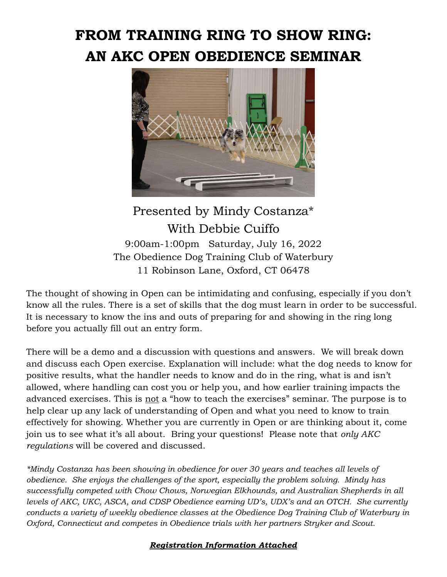# **FROM TRAINING RING TO SHOW RING: AN AKC OPEN OBEDIENCE SEMINAR**



## Presented by Mindy Costanza\* With Debbie Cuiffo 9:00am-1:00pm Saturday, July 16, 2022 The Obedience Dog Training Club of Waterbury 11 Robinson Lane, Oxford, CT 06478

The thought of showing in Open can be intimidating and confusing, especially if you don't know all the rules. There is a set of skills that the dog must learn in order to be successful. It is necessary to know the ins and outs of preparing for and showing in the ring long before you actually fill out an entry form.

There will be a demo and a discussion with questions and answers. We will break down and discuss each Open exercise. Explanation will include: what the dog needs to know for positive results, what the handler needs to know and do in the ring, what is and isn't allowed, where handling can cost you or help you, and how earlier training impacts the advanced exercises. This is not a "how to teach the exercises" seminar. The purpose is to help clear up any lack of understanding of Open and what you need to know to train effectively for showing. Whether you are currently in Open or are thinking about it, come join us to see what it's all about. Bring your questions! Please note that *only AKC regulations* will be covered and discussed.

*\*Mindy Costanza has been showing in obedience for over 30 years and teaches all levels of obedience. She enjoys the challenges of the sport, especially the problem solving. Mindy has successfully competed with Chow Chows, Norwegian Elkhounds, and Australian Shepherds in all levels of AKC, UKC, ASCA, and CDSP Obedience earning UD's, UDX's and an OTCH. She currently conducts a variety of weekly obedience classes at the Obedience Dog Training Club of Waterbury in Oxford, Connecticut and competes in Obedience trials with her partners Stryker and Scout.*

### *Registration Information Attached*